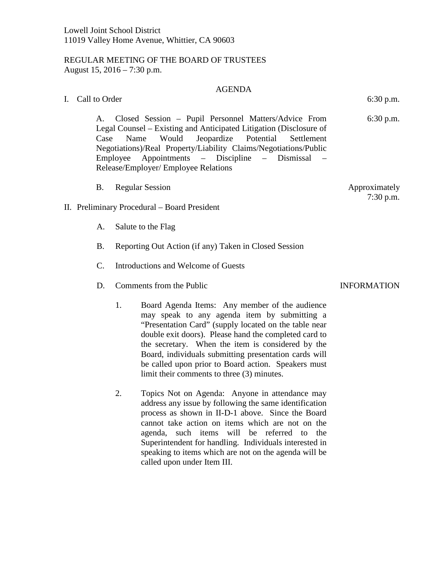## REGULAR MEETING OF THE BOARD OF TRUSTEES August 15, 2016 – 7:30 p.m.

## AGENDA

I. Call to Order 6:30 p.m.

A. Closed Session – Pupil Personnel Matters/Advice From Legal Counsel – Existing and Anticipated Litigation (Disclosure of Case Name Would Jeopardize Potential Settlement Negotiations)/Real Property/Liability Claims/Negotiations/Public Employee Appointments – Discipline – Dismissal – Release/Employer/ Employee Relations

- B. Regular Session Approximately
- II. Preliminary Procedural Board President
	- A. Salute to the Flag
	- B. Reporting Out Action (if any) Taken in Closed Session
	- C. Introductions and Welcome of Guests
	- D. Comments from the Public INFORMATION
		- 1. Board Agenda Items: Any member of the audience may speak to any agenda item by submitting a "Presentation Card" (supply located on the table near double exit doors). Please hand the completed card to the secretary. When the item is considered by the Board, individuals submitting presentation cards will be called upon prior to Board action. Speakers must limit their comments to three (3) minutes.
		- 2. Topics Not on Agenda: Anyone in attendance may address any issue by following the same identification process as shown in II-D-1 above. Since the Board cannot take action on items which are not on the agenda, such items will be referred to the Superintendent for handling. Individuals interested in speaking to items which are not on the agenda will be called upon under Item III.

6:30 p.m.

7:30 p.m.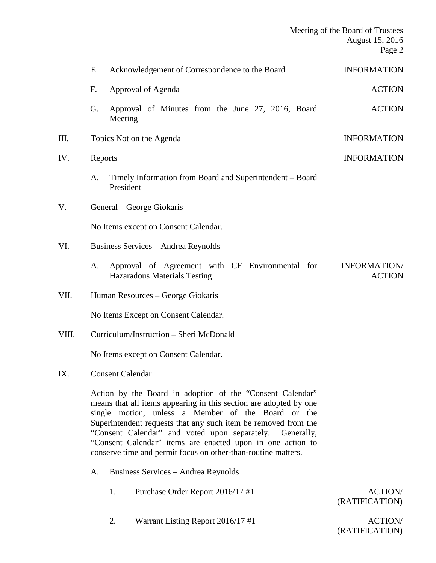|       | Meeting of the Board of Trustees<br>August 15, 2016                                                                                                                                                                                                                                                                |                                                                                 |                                      |  |  |  |
|-------|--------------------------------------------------------------------------------------------------------------------------------------------------------------------------------------------------------------------------------------------------------------------------------------------------------------------|---------------------------------------------------------------------------------|--------------------------------------|--|--|--|
|       | E.                                                                                                                                                                                                                                                                                                                 | Acknowledgement of Correspondence to the Board                                  | <b>INFORMATION</b>                   |  |  |  |
|       | F.<br>Approval of Agenda                                                                                                                                                                                                                                                                                           |                                                                                 | <b>ACTION</b>                        |  |  |  |
|       | G.<br>Meeting                                                                                                                                                                                                                                                                                                      | Approval of Minutes from the June 27, 2016, Board                               | <b>ACTION</b>                        |  |  |  |
| III.  | Topics Not on the Agenda                                                                                                                                                                                                                                                                                           |                                                                                 | <b>INFORMATION</b>                   |  |  |  |
| IV.   | Reports<br><b>INFORMATION</b>                                                                                                                                                                                                                                                                                      |                                                                                 |                                      |  |  |  |
|       | A.<br>President                                                                                                                                                                                                                                                                                                    | Timely Information from Board and Superintendent - Board                        |                                      |  |  |  |
| V.    | General – George Giokaris                                                                                                                                                                                                                                                                                          |                                                                                 |                                      |  |  |  |
|       | No Items except on Consent Calendar.                                                                                                                                                                                                                                                                               |                                                                                 |                                      |  |  |  |
| VI.   | Business Services - Andrea Reynolds                                                                                                                                                                                                                                                                                |                                                                                 |                                      |  |  |  |
|       | A.                                                                                                                                                                                                                                                                                                                 | Approval of Agreement with CF Environmental for<br>Hazaradous Materials Testing | <b>INFORMATION/</b><br><b>ACTION</b> |  |  |  |
| VII.  | Human Resources – George Giokaris                                                                                                                                                                                                                                                                                  |                                                                                 |                                      |  |  |  |
|       | No Items Except on Consent Calendar.                                                                                                                                                                                                                                                                               |                                                                                 |                                      |  |  |  |
| VIII. | Curriculum/Instruction - Sheri McDonald                                                                                                                                                                                                                                                                            |                                                                                 |                                      |  |  |  |
|       | No Items except on Consent Calendar.                                                                                                                                                                                                                                                                               |                                                                                 |                                      |  |  |  |
| IX.   | <b>Consent Calendar</b>                                                                                                                                                                                                                                                                                            |                                                                                 |                                      |  |  |  |
|       | Action by the Board in adoption of the "Consent Calendar"<br>means that all items appearing in this section are adopted by one<br>single motion, unless a Member of the Board or the<br>Superintendent requests that any such item be removed from the<br>"Consent Calendar" and voted upon separately. Generally, |                                                                                 |                                      |  |  |  |

- A. Business Services Andrea Reynolds
	- 1. Purchase Order Report 2016/17 #1 ACTION/

"Consent Calendar" items are enacted upon in one action to conserve time and permit focus on other-than-routine matters.

## (RATIFICATION)

2. Warrant Listing Report 2016/17 #1 ACTION/

(RATIFICATION)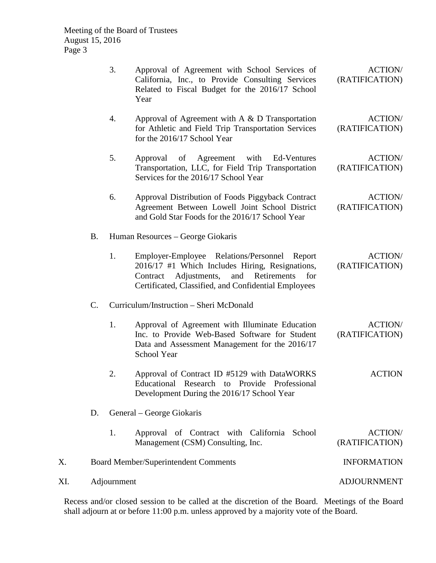|     |                                             | 3.                                      | Approval of Agreement with School Services of<br>California, Inc., to Provide Consulting Services<br>Related to Fiscal Budget for the 2016/17 School<br>Year                                                     | <b>ACTION/</b><br>(RATIFICATION) |  |
|-----|---------------------------------------------|-----------------------------------------|------------------------------------------------------------------------------------------------------------------------------------------------------------------------------------------------------------------|----------------------------------|--|
|     |                                             | 4.                                      | Approval of Agreement with A $\&$ D Transportation<br>for Athletic and Field Trip Transportation Services<br>for the 2016/17 School Year                                                                         | <b>ACTION/</b><br>(RATIFICATION) |  |
|     |                                             | 5.                                      | of<br>Agreement<br>with<br>Ed-Ventures<br>Approval<br>Transportation, LLC, for Field Trip Transportation<br>Services for the 2016/17 School Year                                                                 | <b>ACTION/</b><br>(RATIFICATION) |  |
|     |                                             | 6.                                      | Approval Distribution of Foods Piggyback Contract<br>Agreement Between Lowell Joint School District<br>and Gold Star Foods for the 2016/17 School Year                                                           | <b>ACTION/</b><br>(RATIFICATION) |  |
|     | <b>B.</b>                                   | Human Resources – George Giokaris       |                                                                                                                                                                                                                  |                                  |  |
|     |                                             | 1.                                      | Employer-Employee Relations/Personnel Report<br>2016/17 #1 Which Includes Hiring, Resignations,<br>Adjustments,<br>and<br>Retirements<br>for<br>Contract<br>Certificated, Classified, and Confidential Employees | <b>ACTION/</b><br>(RATIFICATION) |  |
|     | $C$ .                                       | Curriculum/Instruction - Sheri McDonald |                                                                                                                                                                                                                  |                                  |  |
|     |                                             | 1.                                      | Approval of Agreement with Illuminate Education<br>Inc. to Provide Web-Based Software for Student<br>Data and Assessment Management for the 2016/17<br>School Year                                               | <b>ACTION/</b><br>(RATIFICATION) |  |
|     |                                             | 2.                                      | Approval of Contract ID #5129 with DataWORKS<br>Educational Research to Provide Professional<br>Development During the 2016/17 School Year                                                                       | <b>ACTION</b>                    |  |
|     | D.                                          |                                         | General – George Giokaris                                                                                                                                                                                        |                                  |  |
|     |                                             | 1.                                      | Approval of Contract with California School<br>Management (CSM) Consulting, Inc.                                                                                                                                 | <b>ACTION/</b><br>(RATIFICATION) |  |
| Х.  | <b>Board Member/Superintendent Comments</b> |                                         |                                                                                                                                                                                                                  | <b>INFORMATION</b>               |  |
| XI. | Adjournment                                 |                                         |                                                                                                                                                                                                                  | <b>ADJOURNMENT</b>               |  |

Recess and/or closed session to be called at the discretion of the Board. Meetings of the Board shall adjourn at or before 11:00 p.m. unless approved by a majority vote of the Board.